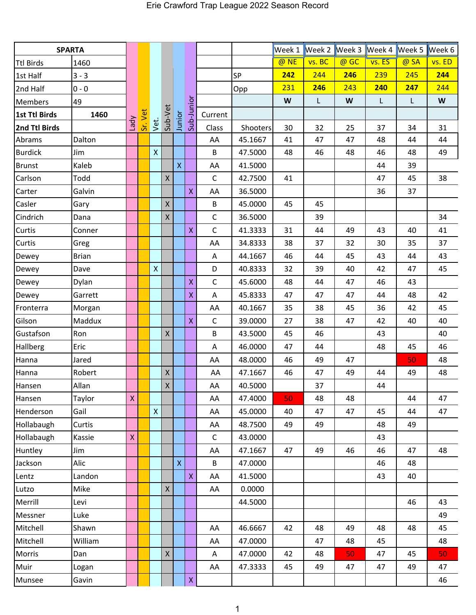| <b>SPARTA</b>    |              |              |         |              |              |              |                         |              |          | Week 1 | Week 2 Week 3 Week 4 |      |        | Week 5       | Week 6 |
|------------------|--------------|--------------|---------|--------------|--------------|--------------|-------------------------|--------------|----------|--------|----------------------|------|--------|--------------|--------|
| <b>Ttl Birds</b> | 1460         |              |         |              |              |              |                         |              |          | @ NE   | vs. BC               | @ GC | vs. ES | @ SA         | vs. ED |
| 1st Half         | $3 - 3$      |              |         |              |              |              |                         |              | SP       | 242    | 244                  | 246  | 239    | 245          | 244    |
| 2nd Half         | $0 - 0$      |              |         |              |              |              |                         |              | Opp      | 231    | 246                  | 243  | 240    | 247          | 244    |
| <b>Members</b>   | 49           |              |         |              |              |              |                         |              |          | W      | $\mathsf{L}$         | W    | L.     | $\mathsf{L}$ | W      |
| 1st Ttl Birds    | 1460         |              | Sr. Vet |              |              |              | Sub-Junior              | Current      |          |        |                      |      |        |              |        |
| 2nd Ttl Birds    |              | Lady         |         | vet.         | Sub-Vet      | Junior       |                         | Class        | Shooters | 30     | 32                   | 25   | 37     | 34           | 31     |
| Abrams           | Dalton       |              |         |              |              |              |                         | AA           | 45.1667  | 41     | 47                   | 47   | 48     | 44           | 44     |
| <b>Burdick</b>   | Jim          |              |         | $\mathsf{X}$ |              |              |                         | B            | 47.5000  | 48     | 46                   | 48   | 46     | 48           | 49     |
| <b>Brunst</b>    | Kaleb        |              |         |              |              | $\mathsf{X}$ |                         | AA           | 41.5000  |        |                      |      | 44     | 39           |        |
| Carlson          | Todd         |              |         |              | $\mathsf{X}$ |              |                         | $\mathsf{C}$ | 42.7500  | 41     |                      |      | 47     | 45           | 38     |
| Carter           | Galvin       |              |         |              |              |              | $\mathsf{X}$            | AA           | 36.5000  |        |                      |      | 36     | 37           |        |
| Casler           | Gary         |              |         |              | $\mathsf X$  |              |                         | B            | 45.0000  | 45     | 45                   |      |        |              |        |
| Cindrich         | Dana         |              |         |              | $\mathsf{X}$ |              |                         | $\mathsf C$  | 36.5000  |        | 39                   |      |        |              | 34     |
| Curtis           | Conner       |              |         |              |              |              | $\overline{\mathsf{X}}$ | $\mathsf C$  | 41.3333  | 31     | 44                   | 49   | 43     | 40           | 41     |
| Curtis           | Greg         |              |         |              |              |              |                         | AA           | 34.8333  | 38     | 37                   | 32   | 30     | 35           | 37     |
| Dewey            | <b>Brian</b> |              |         |              |              |              |                         | A            | 44.1667  | 46     | 44                   | 45   | 43     | 44           | 43     |
| Dewey            | Dave         |              |         | $\mathsf{X}$ |              |              |                         | D            | 40.8333  | 32     | 39                   | 40   | 42     | 47           | 45     |
| Dewey            | Dylan        |              |         |              |              |              | $\overline{\mathsf{X}}$ | $\mathsf{C}$ | 45.6000  | 48     | 44                   | 47   | 46     | 43           |        |
| Dewey            | Garrett      |              |         |              |              |              | $\mathsf{X}$            | A            | 45.8333  | 47     | 47                   | 47   | 44     | 48           | 42     |
| Fronterra        | Morgan       |              |         |              |              |              |                         | AA           | 40.1667  | 35     | 38                   | 45   | 36     | 42           | 45     |
| Gilson           | Maddux       |              |         |              |              |              | $\pmb{\mathsf{X}}$      | $\mathsf C$  | 39.0000  | 27     | 38                   | 47   | 42     | 40           | 40     |
| Gustafson        | Ron          |              |         |              | $\mathsf{X}$ |              |                         | B            | 43.5000  | 45     | 46                   |      | 43     |              | 40     |
| Hallberg         | Eric         |              |         |              |              |              |                         | A            | 46.0000  | 47     | 44                   |      | 48     | 45           | 46     |
| Hanna            | Jared        |              |         |              |              |              |                         | AA           | 48.0000  | 46     | 49                   | 47   |        | 50           | 48     |
| Hanna            | Robert       |              |         |              | $\mathsf{X}$ |              |                         | AA           | 47.1667  | 46     | 47                   | 49   | 44     | 49           | 48     |
| Hansen           | Allan        |              |         |              | X            |              |                         | AA           | 40.5000  |        | 37                   |      | 44     |              |        |
| Hansen           | Taylor       | $\mathsf{X}$ |         |              |              |              |                         | AA           | 47.4000  | 50     | 48                   | 48   |        | 44           | 47     |
| Henderson        | Gail         |              |         | $\mathsf{X}$ |              |              |                         | AA           | 45.0000  | 40     | 47                   | 47   | 45     | 44           | 47     |
| Hollabaugh       | Curtis       |              |         |              |              |              |                         | AA           | 48.7500  | 49     | 49                   |      | 48     | 49           |        |
| Hollabaugh       | Kassie       | $\mathsf X$  |         |              |              |              |                         | $\mathsf{C}$ | 43.0000  |        |                      |      | 43     |              |        |
| Huntley          | Jim          |              |         |              |              |              |                         | AA           | 47.1667  | 47     | 49                   | 46   | 46     | 47           | 48     |
| Jackson          | Alic         |              |         |              |              | $\mathsf{X}$ |                         | B            | 47.0000  |        |                      |      | 46     | 48           |        |
| Lentz            | Landon       |              |         |              |              |              | $\mathsf{X}$            | AA           | 41.5000  |        |                      |      | 43     | 40           |        |
| Lutzo            | Mike         |              |         |              | $\mathsf{X}$ |              |                         | AA           | 0.0000   |        |                      |      |        |              |        |
| Merrill          | Levi         |              |         |              |              |              |                         |              | 44.5000  |        |                      |      |        | 46           | 43     |
| Messner          | Luke         |              |         |              |              |              |                         |              |          |        |                      |      |        |              | 49     |
| Mitchell         | Shawn        |              |         |              |              |              |                         | AA           | 46.6667  | 42     | 48                   | 49   | 48     | 48           | 45     |
| Mitchell         | William      |              |         |              |              |              |                         | AA           | 47.0000  |        | 47                   | 48   | 45     |              | 48     |
| Morris           | Dan          |              |         |              | $\mathsf{X}$ |              |                         | Α            | 47.0000  | 42     | 48                   | 50   | 47     | 45           | 50     |
| Muir             | Logan        |              |         |              |              |              |                         | AA           | 47.3333  | 45     | 49                   | 47   | 47     | 49           | 47     |
| Munsee           | Gavin        |              |         |              |              |              | $\mathsf{X}^{\top}$     |              |          |        |                      |      |        |              | 46     |